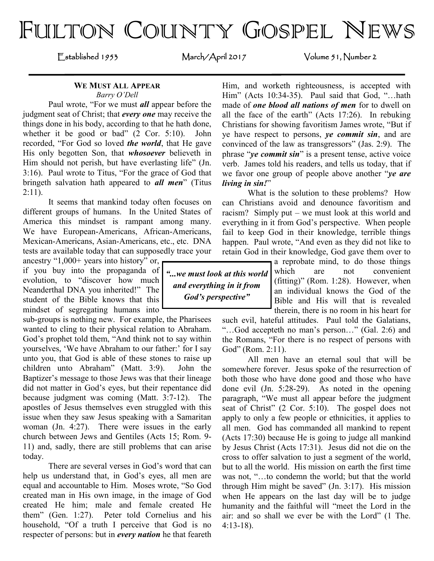# FULTON COUNTY GOSPEL NEWS

Established 1953 March/April 2017 Volume 51, Number 2

#### **WE MUST ALL APPEAR** *Barry O'Dell*

Paul wrote, "For we must *all* appear before the judgment seat of Christ; that *every one* may receive the things done in his body, according to that he hath done, whether it be good or bad" (2 Cor. 5:10). John recorded, "For God so loved *the world*, that He gave His only begotten Son, that *whosoever* believeth in Him should not perish, but have everlasting life" (Jn. 3:16). Paul wrote to Titus, "For the grace of God that bringeth salvation hath appeared to *all men*" (Titus  $2:11$ ).

It seems that mankind today often focuses on different groups of humans. In the United States of America this mindset is rampant among many. We have European-Americans, African-Americans, Mexican-Americans, Asian-Americans, etc., etc. DNA tests are available today that can supposedly trace your

ancestry "1,000+ years into history" or, if you buy into the propaganda of *"...we must look at this world*  evolution, to "discover how much Neanderthal DNA you inherited!" The student of the Bible knows that this mindset of segregating humans into

sub-groups is nothing new. For example, the Pharisees wanted to cling to their physical relation to Abraham. God's prophet told them, "And think not to say within yourselves, 'We have Abraham to our father:' for I say unto you, that God is able of these stones to raise up children unto Abraham" (Matt. 3:9). John the Baptizer's message to those Jews was that their lineage did not matter in God's eyes, but their repentance did because judgment was coming (Matt. 3:7-12). The apostles of Jesus themselves even struggled with this issue when they saw Jesus speaking with a Samaritan woman (Jn. 4:27). There were issues in the early church between Jews and Gentiles (Acts 15; Rom. 9- 11) and, sadly, there are still problems that can arise today.

There are several verses in God's word that can help us understand that, in God's eyes, all men are equal and accountable to Him. Moses wrote, "So God created man in His own image, in the image of God created He him; male and female created He them" (Gen. 1:27). Peter told Cornelius and his household, "Of a truth I perceive that God is no respecter of persons: but in *every nation* he that feareth Him, and worketh righteousness, is accepted with Him" (Acts 10:34-35). Paul said that God, "…hath made of *one blood all nations of men* for to dwell on all the face of the earth" (Acts 17:26). In rebuking Christians for showing favoritism James wrote, "But if ye have respect to persons, *ye commit sin*, and are convinced of the law as transgressors" (Jas. 2:9). The phrase "*ye commit sin*" is a present tense, active voice verb. James told his readers, and tells us today, that if we favor one group of people above another "*ye are living in sin!*"

What is the solution to these problems? How can Christians avoid and denounce favoritism and racism? Simply put – we must look at this world and everything in it from God's perspective. When people fail to keep God in their knowledge, terrible things happen. Paul wrote, "And even as they did not like to retain God in their knowledge, God gave them over to

> a reprobate mind, to do those things which are not convenient (fitting)" (Rom. 1:28). However, when an individual knows the God of the Bible and His will that is revealed therein, there is no room in his heart for

such evil, hateful attitudes. Paul told the Galatians, "…God accepteth no man's person…" (Gal. 2:6) and the Romans, "For there is no respect of persons with God" (Rom. 2:11).

All men have an eternal soul that will be somewhere forever. Jesus spoke of the resurrection of both those who have done good and those who have done evil (Jn. 5:28-29). As noted in the opening paragraph, "We must all appear before the judgment seat of Christ" (2 Cor. 5:10). The gospel does not apply to only a few people or ethnicities, it applies to all men. God has commanded all mankind to repent (Acts 17:30) because He is going to judge all mankind by Jesus Christ (Acts 17:31). Jesus did not die on the cross to offer salvation to just a segment of the world, but to all the world. His mission on earth the first time was not, "…to condemn the world; but that the world through Him might be saved" (Jn. 3:17). His mission when He appears on the last day will be to judge humanity and the faithful will "meet the Lord in the air: and so shall we ever be with the Lord" (1 The. 4:13-18).

*and everything in it from God's perspective"*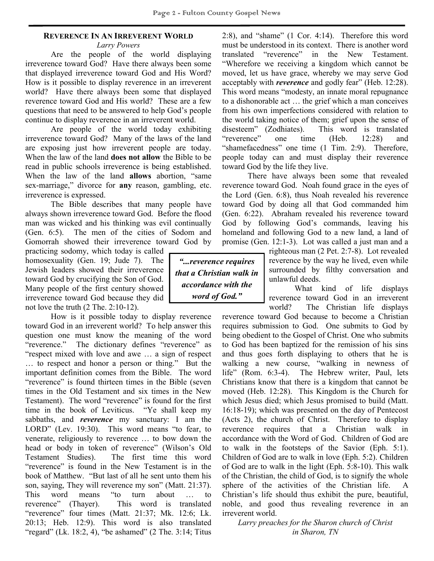# **REVERENCE IN AN IRREVERENT WORLD**

*Larry Powers*

Are the people of the world displaying irreverence toward God? Have there always been some that displayed irreverence toward God and His Word? How is it possible to display reverence in an irreverent world? Have there always been some that displayed reverence toward God and His world? These are a few questions that need to be answered to help God's people continue to display reverence in an irreverent world.

Are people of the world today exhibiting irreverence toward God? Many of the laws of the land are exposing just how irreverent people are today. When the law of the land **does not allow** the Bible to be read in public schools irreverence is being established. When the law of the land **allows** abortion, "same sex-marriage," divorce for **any** reason, gambling, etc. irreverence is expressed.

The Bible describes that many people have always shown irreverence toward God. Before the flood man was wicked and his thinking was evil continually (Gen. 6:5). The men of the cities of Sodom and Gomorrah showed their irreverence toward God by

practicing sodomy, which today is called homosexuality (Gen. 19; Jude 7). The Jewish leaders showed their irreverence toward God by crucifying the Son of God. Many people of the first century showed irreverence toward God because they did not love the truth (2 The. 2:10-12).

How is it possible today to display reverence toward God in an irreverent world? To help answer this question one must know the meaning of the word "reverence." The dictionary defines "reverence" as "respect mixed with love and awe … a sign of respect … to respect and honor a person or thing." But the important definition comes from the Bible. The word "reverence" is found thirteen times in the Bible (seven times in the Old Testament and six times in the New Testament). The word "reverence" is found for the first time in the book of Leviticus. "Ye shall keep my sabbaths, and *reverence* my sanctuary: I am the LORD" (Lev. 19:30). This word means "to fear, to venerate, religiously to reverence … to bow down the head or body in token of reverence" (Wilson's Old Testament Studies). The first time this word "reverence" is found in the New Testament is in the book of Matthew. "But last of all he sent unto them his son, saying, They will reverence my son" (Matt. 21:37). This word means "to turn about … to reverence" (Thayer). This word is translated "reverence" four times (Matt. 21:37; Mk. 12:6; Lk. 20:13; Heb. 12:9). This word is also translated "regard" (Lk. 18:2, 4), "be ashamed" (2 The. 3:14; Titus

2:8), and "shame" (1 Cor. 4:14). Therefore this word must be understood in its context. There is another word translated "reverence" in the New Testament. "Wherefore we receiving a kingdom which cannot be moved, let us have grace, whereby we may serve God acceptably with *reverence* and godly fear" (Heb. 12:28). This word means "modesty, an innate moral repugnance to a dishonorable act … the grief which a man conceives from his own imperfections considered with relation to the world taking notice of them; grief upon the sense of disesteem" (Zodhiates). This word is translated "reverence" one time (Heb. 12:28) and "shamefacedness" one time (1 Tim. 2:9). Therefore, people today can and must display their reverence toward God by the life they live.

There have always been some that revealed reverence toward God. Noah found grace in the eyes of the Lord (Gen. 6:8), thus Noah revealed his reverence toward God by doing all that God commanded him (Gen. 6:22). Abraham revealed his reverence toward God by following God's commands, leaving his homeland and following God to a new land, a land of promise (Gen. 12:1-3). Lot was called a just man and a

*"...reverence requires that a Christian walk in accordance with the word of God."*

righteous man (2 Pet. 2:7-8). Lot revealed reverence by the way he lived, even while surrounded by filthy conversation and unlawful deeds.

What kind of life displays reverence toward God in an irreverent world? The Christian life displays

reverence toward God because to become a Christian requires submission to God. One submits to God by being obedient to the Gospel of Christ. One who submits to God has been baptized for the remission of his sins and thus goes forth displaying to others that he is walking a new course, "walking in newness of life" (Rom. 6:3-4). The Hebrew writer, Paul, lets Christians know that there is a kingdom that cannot be moved (Heb. 12:28). This Kingdom is the Church for which Jesus died; which Jesus promised to build (Matt. 16:18-19); which was presented on the day of Pentecost (Acts 2), the church of Christ. Therefore to display reverence requires that a Christian walk in accordance with the Word of God. Children of God are to walk in the footsteps of the Savior (Eph. 5:1). Children of God are to walk in love (Eph. 5:2). Children of God are to walk in the light (Eph. 5:8-10). This walk of the Christian, the child of God, is to signify the whole sphere of the activities of the Christian life. A Christian's life should thus exhibit the pure, beautiful, noble, and good thus revealing reverence in an irreverent world.

*Larry preaches for the Sharon church of Christ in Sharon, TN*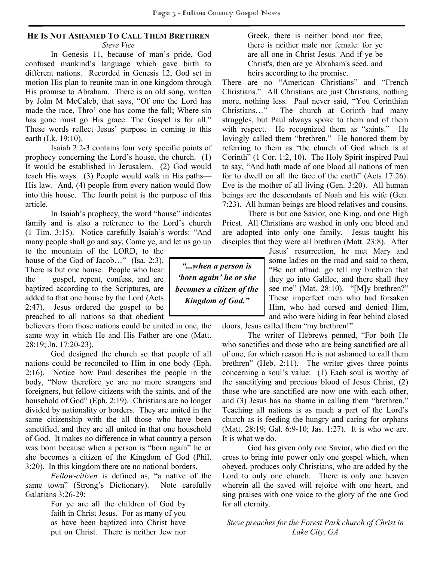#### **HE IS NOT ASHAMED TO CALL THEM BRETHREN** *Steve Vice*

In Genesis 11, because of man's pride, God confused mankind's language which gave birth to different nations. Recorded in Genesis 12, God set in motion His plan to reunite man in one kingdom through His promise to Abraham. There is an old song, written by John M McCaleb, that says, "Of one the Lord has made the race, Thro' one has come the fall; Where sin has gone must go His grace: The Gospel is for all." These words reflect Jesus' purpose in coming to this earth (Lk. 19:10).

Isaiah 2:2-3 contains four very specific points of prophecy concerning the Lord's house, the church. (1) It would be established in Jerusalem. (2) God would teach His ways. (3) People would walk in His paths— His law. And, (4) people from every nation would flow into this house. The fourth point is the purpose of this article.

In Isaiah's prophecy, the word "house" indicates family and is also a reference to the Lord's church (1 Tim. 3:15). Notice carefully Isaiah's words: "And many people shall go and say, Come ye, and let us go up

to the mountain of the LORD, to the house of the God of Jacob…" (Isa. 2:3). There is but one house. People who hear the gospel, repent, confess, and are baptized according to the Scriptures, are added to that one house by the Lord (Acts 2:47). Jesus ordered the gospel to be preached to all nations so that obedient

believers from those nations could be united in one, the same way in which He and His Father are one (Matt. 28:19; Jn. 17:20-23).

God designed the church so that people of all nations could be reconciled to Him in one body (Eph. 2:16). Notice how Paul describes the people in the body, "Now therefore ye are no more strangers and foreigners, but fellow-citizens with the saints, and of the household of God" (Eph. 2:19). Christians are no longer divided by nationality or borders. They are united in the same citizenship with the all those who have been sanctified, and they are all united in that one household of God. It makes no difference in what country a person was born because when a person is "born again" he or she becomes a citizen of the Kingdom of God (Phil. 3:20). In this kingdom there are no national borders.

*Fellow-citizen* is defined as, "a native of the same town" (Strong's Dictionary). Note carefully Galatians 3:26-29:

> For ye are all the children of God by faith in Christ Jesus. For as many of you as have been baptized into Christ have put on Christ. There is neither Jew nor

Greek, there is neither bond nor free, there is neither male nor female: for ye are all one in Christ Jesus. And if ye be Christ's, then are ye Abraham's seed, and heirs according to the promise.

There are no "American Christians" and "French Christians." All Christians are just Christians, nothing more, nothing less. Paul never said, "You Corinthian Christians…" The church at Corinth had many struggles, but Paul always spoke to them and of them with respect. He recognized them as "saints." He lovingly called them "brethren." He honored them by referring to them as "the church of God which is at Corinth" (1 Cor. 1:2, 10). The Holy Spirit inspired Paul to say, "And hath made of one blood all nations of men for to dwell on all the face of the earth" (Acts 17:26). Eve is the mother of all living (Gen. 3:20). All human beings are the descendants of Noah and his wife (Gen. 7:23). All human beings are blood relatives and cousins.

There is but one Savior, one King, and one High Priest. All Christians are washed in only one blood and are adopted into only one family. Jesus taught his disciples that they were all brethren (Matt. 23:8). After

> Jesus' resurrection, he met Mary and some ladies on the road and said to them, "Be not afraid: go tell my brethren that they go into Galilee, and there shall they see me" (Mat. 28:10). "[M]y brethren?" These imperfect men who had forsaken Him, who had cursed and denied Him, and who were hiding in fear behind closed

doors, Jesus called them "my brethren!" The writer of Hebrews penned, "For both He

who sanctifies and those who are being sanctified are all of one, for which reason He is not ashamed to call them brethren" (Heb. 2:11). The writer gives three points concerning a soul's value: (1) Each soul is worthy of the sanctifying and precious blood of Jesus Christ, (2) those who are sanctified are now one with each other, and (3) Jesus has no shame in calling them "brethren." Teaching all nations is as much a part of the Lord's church as is feeding the hungry and caring for orphans (Matt. 28:19; Gal. 6:9-10; Jas. 1:27). It is who we are. It is what we do.

God has given only one Savior, who died on the cross to bring into power only one gospel which, when obeyed, produces only Christians, who are added by the Lord to only one church. There is only one heaven wherein all the saved will rejoice with one heart, and sing praises with one voice to the glory of the one God for all eternity.

*Steve preaches for the Forest Park church of Christ in Lake City, GA*

*"...when a person is 'born again' he or she becomes a citizen of the Kingdom of God."*